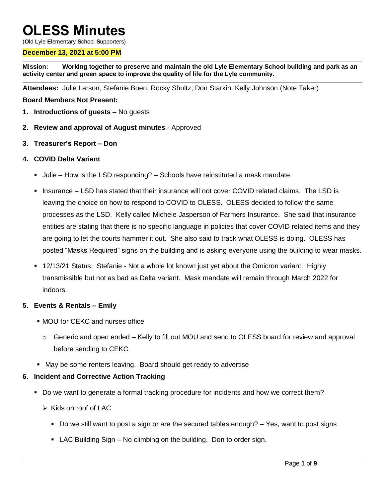# **OLESS Minutes**

(**O**ld **L**yle **E**lementary **S**chool **S**upporters)

## **December 13, 2021 at 5:00 PM**

**Mission: Working together to preserve and maintain the old Lyle Elementary School building and park as an activity center and green space to improve the quality of life for the Lyle community.**

**Attendees:** Julie Larson, Stefanie Boen, Rocky Shultz, Don Starkin, Kelly Johnson (Note Taker)

## **Board Members Not Present:**

- **1. Introductions of guests –** No guests
- **2. Review and approval of August minutes** Approved
- **3. Treasurer's Report – Don**

## **4. COVID Delta Variant**

- **Julie How is the LSD responding? Schools have reinstituted a mask mandate**
- **Insurance LSD has stated that their insurance will not cover COVID related claims. The LSD is** leaving the choice on how to respond to COVID to OLESS. OLESS decided to follow the same processes as the LSD. Kelly called Michele Jasperson of Farmers Insurance. She said that insurance entities are stating that there is no specific language in policies that cover COVID related items and they are going to let the courts hammer it out. She also said to track what OLESS is doing. OLESS has posted "Masks Required" signs on the building and is asking everyone using the building to wear masks.
- 12/13/21 Status: Stefanie Not a whole lot known just yet about the Omicron variant. Highly transmissible but not as bad as Delta variant. Mask mandate will remain through March 2022 for indoors.

## **5. Events & Rentals – Emily**

- MOU for CEKC and nurses office
	- $\circ$  Generic and open ended Kelly to fill out MOU and send to OLESS board for review and approval before sending to CEKC
- May be some renters leaving. Board should get ready to advertise

## **6. Incident and Corrective Action Tracking**

- Do we want to generate a formal tracking procedure for incidents and how we correct them?
	- $\triangleright$  Kids on roof of LAC
		- Do we still want to post a sign or are the secured tables enough? Yes, want to post signs
		- LAC Building Sign No climbing on the building. Don to order sign.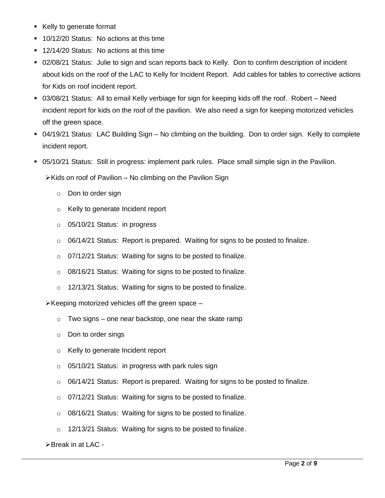- Kelly to generate format
- **10/12/20 Status: No actions at this time**
- 12/14/20 Status: No actions at this time
- 02/08/21 Status: Julie to sign and scan reports back to Kelly. Don to confirm description of incident about kids on the roof of the LAC to Kelly for Incident Report. Add cables for tables to corrective actions for Kids on roof incident report.
- 03/08/21 Status: All to email Kelly verbiage for sign for keeping kids off the roof. Robert Need incident report for kids on the roof of the pavilion. We also need a sign for keeping motorized vehicles off the green space.
- 04/19/21 Status: LAC Building Sign No climbing on the building. Don to order sign. Kelly to complete incident report.
- 05/10/21 Status: Still in progress: implement park rules. Place small simple sign in the Pavilion.

 $\triangleright$  Kids on roof of Pavilion – No climbing on the Pavilion Sign

- o Don to order sign
- o Kelly to generate Incident report
- o 05/10/21 Status: in progress
- $\circ$  06/14/21 Status: Report is prepared. Waiting for signs to be posted to finalize.
- o 07/12/21 Status: Waiting for signs to be posted to finalize.
- o 08/16/21 Status: Waiting for signs to be posted to finalize.
- o 12/13/21 Status: Waiting for signs to be posted to finalize.

 $\triangleright$  Keeping motorized vehicles off the green space –

- $\circ$  Two signs one near backstop, one near the skate ramp
- o Don to order sings
- o Kelly to generate Incident report
- o 05/10/21 Status: in progress with park rules sign
- $\circ$  06/14/21 Status: Report is prepared. Waiting for signs to be posted to finalize.
- o 07/12/21 Status: Waiting for signs to be posted to finalize.
- o 08/16/21 Status: Waiting for signs to be posted to finalize.
- o 12/13/21 Status: Waiting for signs to be posted to finalize.

 $\triangleright$  Break in at LAC -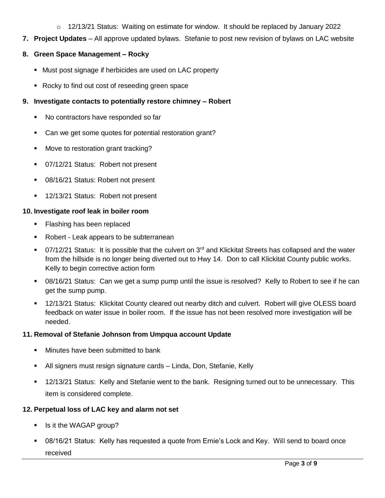o 12/13/21 Status: Waiting on estimate for window. It should be replaced by January 2022

**7. Project Updates** – All approve updated bylaws. Stefanie to post new revision of bylaws on LAC website

# **8. Green Space Management – Rocky**

- Must post signage if herbicides are used on LAC property
- Rocky to find out cost of reseeding green space

# **9. Investigate contacts to potentially restore chimney – Robert**

- No contractors have responded so far
- Can we get some quotes for potential restoration grant?
- **Move to restoration grant tracking?**
- 07/12/21 Status: Robert not present
- **08/16/21 Status: Robert not present**
- **12/13/21 Status: Robert not present**

# **10. Investigate roof leak in boiler room**

- **Flashing has been replaced**
- Robert Leak appears to be subterranean
- 07/12/21 Status: It is possible that the culvert on 3<sup>rd</sup> and Klickitat Streets has collapsed and the water from the hillside is no longer being diverted out to Hwy 14. Don to call Klickitat County public works. Kelly to begin corrective action form
- 08/16/21 Status: Can we get a sump pump until the issue is resolved? Kelly to Robert to see if he can get the sump pump.
- 12/13/21 Status: Klickitat County cleared out nearby ditch and culvert. Robert will give OLESS board feedback on water issue in boiler room. If the issue has not been resolved more investigation will be needed.

# **11. Removal of Stefanie Johnson from Umpqua account Update**

- Minutes have been submitted to bank
- All signers must resign signature cards Linda, Don, Stefanie, Kelly
- 12/13/21 Status: Kelly and Stefanie went to the bank. Resigning turned out to be unnecessary. This item is considered complete.

# **12. Perpetual loss of LAC key and alarm not set**

- **I** Is it the WAGAP group?
- 08/16/21 Status: Kelly has requested a quote from Ernie's Lock and Key. Will send to board once received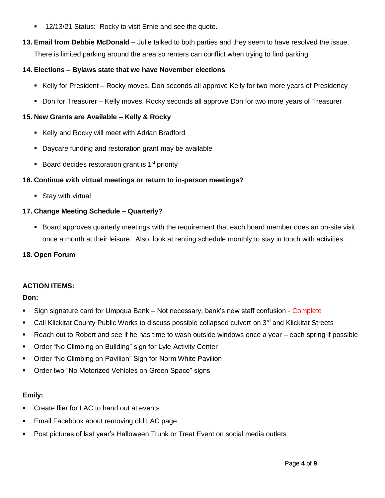- **12/13/21 Status: Rocky to visit Ernie and see the quote.**
- **13. Email from Debbie McDonald**  Julie talked to both parties and they seem to have resolved the issue. There is limited parking around the area so renters can conflict when trying to find parking.

## **14. Elections – Bylaws state that we have November elections**

- Kelly for President Rocky moves, Don seconds all approve Kelly for two more years of Presidency
- Don for Treasurer Kelly moves, Rocky seconds all approve Don for two more years of Treasurer

## **15. New Grants are Available – Kelly & Rocky**

- Kelly and Rocky will meet with Adrian Bradford
- **Daycare funding and restoration grant may be available**
- Board decides restoration grant is  $1<sup>st</sup>$  priority

## **16. Continue with virtual meetings or return to in-person meetings?**

**Stay with virtual** 

## **17. Change Meeting Schedule – Quarterly?**

**Board approves quarterly meetings with the requirement that each board member does an on-site visit** once a month at their leisure. Also, look at renting schedule monthly to stay in touch with activities.

## **18. Open Forum**

## **ACTION ITEMS:**

## **Don:**

- Sign signature card for Umpqua Bank Not necessary, bank's new staff confusion Complete
- Call Klickitat County Public Works to discuss possible collapsed culvert on 3<sup>rd</sup> and Klickitat Streets
- Reach out to Robert and see if he has time to wash outside windows once a year each spring if possible
- Order "No Climbing on Building" sign for Lyle Activity Center
- Order "No Climbing on Pavilion" Sign for Norm White Pavilion
- **Order two "No Motorized Vehicles on Green Space" signs**

## **Emily:**

- Create flier for LAC to hand out at events
- **Email Facebook about removing old LAC page**
- Post pictures of last year's Halloween Trunk or Treat Event on social media outlets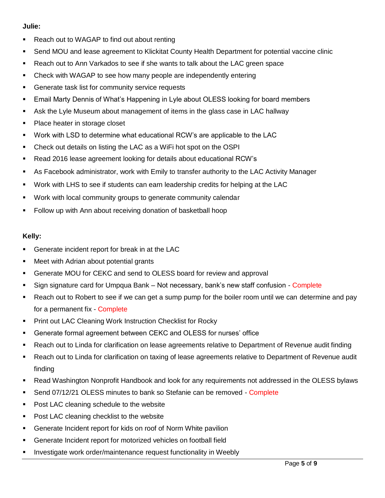## **Julie:**

- **Reach out to WAGAP to find out about renting**
- Send MOU and lease agreement to Klickitat County Health Department for potential vaccine clinic
- Reach out to Ann Varkados to see if she wants to talk about the LAC green space
- Check with WAGAP to see how many people are independently entering
- **Generate task list for community service requests**
- Email Marty Dennis of What's Happening in Lyle about OLESS looking for board members
- Ask the Lyle Museum about management of items in the glass case in LAC hallway
- Place heater in storage closet
- Work with LSD to determine what educational RCW's are applicable to the LAC
- Check out details on listing the LAC as a WiFi hot spot on the OSPI
- Read 2016 lease agreement looking for details about educational RCW's
- As Facebook administrator, work with Emily to transfer authority to the LAC Activity Manager
- Work with LHS to see if students can earn leadership credits for helping at the LAC
- Work with local community groups to generate community calendar
- Follow up with Ann about receiving donation of basketball hoop

## **Kelly:**

- **Generate incident report for break in at the LAC**
- Meet with Adrian about potential grants
- Generate MOU for CEKC and send to OLESS board for review and approval
- Sign signature card for Umpqua Bank Not necessary, bank's new staff confusion Complete
- Reach out to Robert to see if we can get a sump pump for the boiler room until we can determine and pay for a permanent fix - Complete
- **Print out LAC Cleaning Work Instruction Checklist for Rocky**
- Generate formal agreement between CEKC and OLESS for nurses' office
- Reach out to Linda for clarification on lease agreements relative to Department of Revenue audit finding
- Reach out to Linda for clarification on taxing of lease agreements relative to Department of Revenue audit finding
- Read Washington Nonprofit Handbook and look for any requirements not addressed in the OLESS bylaws
- **Send 07/12/21 OLESS minutes to bank so Stefanie can be removed Complete**
- **Post LAC cleaning schedule to the website**
- **Post LAC cleaning checklist to the website**
- Generate Incident report for kids on roof of Norm White pavilion
- Generate Incident report for motorized vehicles on football field
- Investigate work order/maintenance request functionality in Weebly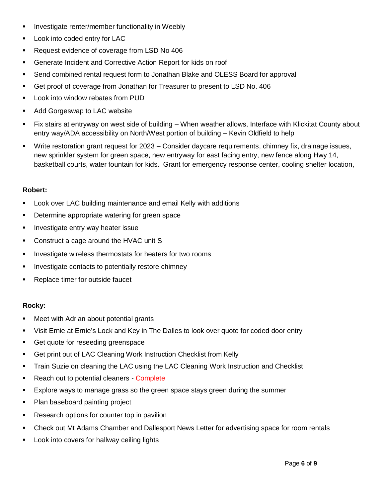- **Investigate renter/member functionality in Weebly**
- **Look into coded entry for LAC**
- Request evidence of coverage from LSD No 406
- Generate Incident and Corrective Action Report for kids on roof
- Send combined rental request form to Jonathan Blake and OLESS Board for approval
- Get proof of coverage from Jonathan for Treasurer to present to LSD No. 406
- **-** Look into window rebates from PUD
- **Add Gorgeswap to LAC website**
- Fix stairs at entryway on west side of building When weather allows, Interface with Klickitat County about entry way/ADA accessibility on North/West portion of building – Kevin Oldfield to help
- Write restoration grant request for 2023 Consider daycare requirements, chimney fix, drainage issues, new sprinkler system for green space, new entryway for east facing entry, new fence along Hwy 14, basketball courts, water fountain for kids. Grant for emergency response center, cooling shelter location,

## **Robert:**

- **EXECT** Look over LAC building maintenance and email Kelly with additions
- **Determine appropriate watering for green space**
- **Investigate entry way heater issue**
- Construct a cage around the HVAC unit S
- **Investigate wireless thermostats for heaters for two rooms**
- **Investigate contacts to potentially restore chimney**
- **Replace timer for outside faucet**

## **Rocky:**

- Meet with Adrian about potential grants
- Visit Ernie at Ernie's Lock and Key in The Dalles to look over quote for coded door entry
- Get quote for reseeding greenspace
- Get print out of LAC Cleaning Work Instruction Checklist from Kelly
- **Train Suzie on cleaning the LAC using the LAC Cleaning Work Instruction and Checklist**
- Reach out to potential cleaners Complete
- Explore ways to manage grass so the green space stays green during the summer
- Plan baseboard painting project
- **Research options for counter top in pavilion**
- Check out Mt Adams Chamber and Dallesport News Letter for advertising space for room rentals
- Look into covers for hallway ceiling lights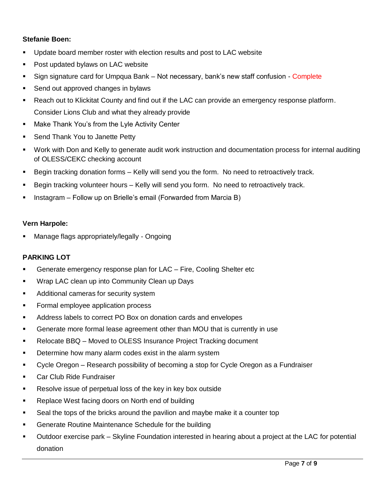## **Stefanie Boen:**

- Update board member roster with election results and post to LAC website
- **Post updated bylaws on LAC website**
- Sign signature card for Umpqua Bank Not necessary, bank's new staff confusion Complete
- Send out approved changes in bylaws
- Reach out to Klickitat County and find out if the LAC can provide an emergency response platform. Consider Lions Club and what they already provide
- **Make Thank You's from the Lyle Activity Center**
- Send Thank You to Janette Petty
- Work with Don and Kelly to generate audit work instruction and documentation process for internal auditing of OLESS/CEKC checking account
- Begin tracking donation forms Kelly will send you the form. No need to retroactively track.
- **Begin tracking volunteer hours Kelly will send you form. No need to retroactively track.**
- **Instagram Follow up on Brielle's email (Forwarded from Marcia B)**

#### **Vern Harpole:**

Manage flags appropriately/legally - Ongoing

## **PARKING LOT**

- Generate emergency response plan for LAC Fire, Cooling Shelter etc
- **Wrap LAC clean up into Community Clean up Days**
- **Additional cameras for security system**
- Formal employee application process
- Address labels to correct PO Box on donation cards and envelopes
- Generate more formal lease agreement other than MOU that is currently in use
- Relocate BBQ Moved to OLESS Insurance Project Tracking document
- **Determine how many alarm codes exist in the alarm system**
- Cycle Oregon Research possibility of becoming a stop for Cycle Oregon as a Fundraiser
- **Car Club Ride Fundraiser**
- **Resolve issue of perpetual loss of the key in key box outside**
- **Replace West facing doors on North end of building**
- Seal the tops of the bricks around the pavilion and maybe make it a counter top
- **Generate Routine Maintenance Schedule for the building**
- Outdoor exercise park Skyline Foundation interested in hearing about a project at the LAC for potential donation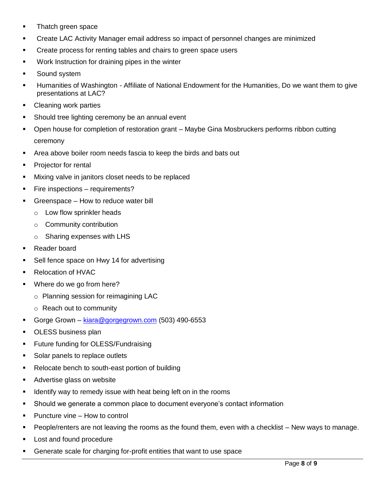- Thatch green space
- Create LAC Activity Manager email address so impact of personnel changes are minimized
- **•** Create process for renting tables and chairs to green space users
- **Work Instruction for draining pipes in the winter**
- Sound system
- Humanities of Washington Affiliate of National Endowment for the Humanities, Do we want them to give presentations at LAC?
- Cleaning work parties
- **Should tree lighting ceremony be an annual event**
- Open house for completion of restoration grant Maybe Gina Mosbruckers performs ribbon cutting ceremony
- Area above boiler room needs fascia to keep the birds and bats out
- **Projector for rental**
- **Mixing valve in janitors closet needs to be replaced**
- **Fire inspections requirements?**
- Greenspace How to reduce water bill
	- o Low flow sprinkler heads
	- o Community contribution
	- o Sharing expenses with LHS
- **Reader board**
- **Sell fence space on Hwy 14 for advertising**
- Relocation of HVAC
- Where do we go from here?
	- o Planning session for reimagining LAC
	- o Reach out to community
- Gorge Grown [kiara@gorgegrown.com](mailto:kiara@gorgegrown.com) (503) 490-6553
- **DESS business plan**
- Future funding for OLESS/Fundraising
- **Solar panels to replace outlets**
- Relocate bench to south-east portion of building
- **Advertise glass on website**
- Identify way to remedy issue with heat being left on in the rooms
- Should we generate a common place to document everyone's contact information
- **Puncture vine How to control**
- People/renters are not leaving the rooms as the found them, even with a checklist New ways to manage.
- **Lost and found procedure**
- Generate scale for charging for-profit entities that want to use space